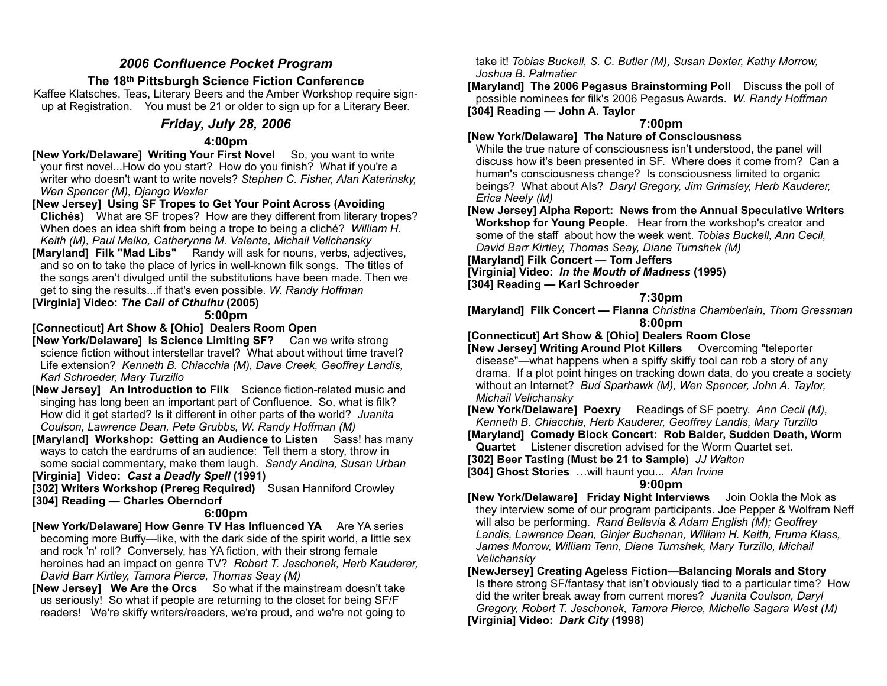# *2006 Confluence Pocket Program*

# **The 18th Pittsburgh Science Fiction Conference**

Kaffee Klatsches, Teas, Literary Beers and the Amber Workshop require signup at Registration. You must be 21 or older to sign up for a Literary Beer.

# *Friday, July 28, 2006*

## **4:00pm**

**[New York/Delaware] Writing Your First Novel** So, you want to write your first novel...How do you start? How do you finish? What if you're a writer who doesn't want to write novels? *Stephen C. Fisher, Alan Katerinsky, Wen Spencer (M), Django Wexler* 

# **[New Jersey] Using SF Tropes to Get Your Point Across (Avoiding**

**Clichés)** What are SF tropes? How are they different from literary tropes? When does an idea shift from being a trope to being a cliché? *William H. Keith (M), Paul Melko, Catherynne M. Valente, Michail Velichansky* 

**[Maryland] Filk "Mad Libs"** Randy will ask for nouns, verbs, adjectives, and so on to take the place of lyrics in well-known filk songs. The titles of the songs aren't divulged until the substitutions have been made. Then we get to sing the results...if that's even possible. *W. Randy Hoffman*

# **[Virginia] Video:** *The Call of Cthulhu* **(2005)**

**5:00pm** 

## **[Connecticut] Art Show & [Ohio] Dealers Room Open**

**[New York/Delaware] Is Science Limiting SF?** Can we write strong science fiction without interstellar travel? What about without time travel? Life extension? *Kenneth B. Chiacchia (M), Dave Creek, Geoffrey Landis, Karl Schroeder, Mary Turzillo*

[**New Jersey] An Introduction to Filk** Science fiction-related music and singing has long been an important part of Confluence. So, what is filk? How did it get started? Is it different in other parts of the world? *Juanita Coulson, Lawrence Dean, Pete Grubbs, W. Randy Hoffman (M)* 

**[Maryland] Workshop: Getting an Audience to Listen** Sass! has many ways to catch the eardrums of an audience: Tell them a story, throw in some social commentary, make them laugh. *Sandy Andina, Susan Urban*  **[Virginia] Video:** *Cast a Deadly Spell* **(1991)**

**[302] Writers Workshop (Prereg Required)** Susan Hanniford Crowley **[304] Reading — Charles Oberndorf**

## **6:00pm**

**[New York/Delaware] How Genre TV Has Influenced YA** Are YA series becoming more Buffy—like, with the dark side of the spirit world, a little sex and rock 'n' roll? Conversely, has YA fiction, with their strong female heroines had an impact on genre TV? *Robert T. Jeschonek, Herb Kauderer, David Barr Kirtley, Tamora Pierce, Thomas Seay (M)* 

**[New Jersey] We Are the Orcs** So what if the mainstream doesn't take us seriously! So what if people are returning to the closet for being SF/F readers! We're skiffy writers/readers, we're proud, and we're not going to

take it! *Tobias Buckell, S. C. Butler (M), Susan Dexter, Kathy Morrow, Joshua B. Palmatier* 

**[Maryland] The 2006 Pegasus Brainstorming Poll** Discuss the poll of possible nominees for filk's 2006 Pegasus Awards. *W. Randy Hoffman*  **[304] Reading — John A. Taylor**

## **7:00pm**

## **[New York/Delaware] The Nature of Consciousness**

While the true nature of consciousness isn't understood, the panel will discuss how it's been presented in SF. Where does it come from? Can a human's consciousness change? Is consciousness limited to organic beings? What about AIs? *Daryl Gregory, Jim Grimsley, Herb Kauderer, Erica Neely (M)* 

**[New Jersey] Alpha Report: News from the Annual Speculative Writers Workshop for Young People**. Hear from the workshop's creator and some of the staff about how the week went. *Tobias Buckell, Ann Cecil, David Barr Kirtley, Thomas Seay, Diane Turnshek (M)*

**[Maryland] Filk Concert — Tom Jeffers**

**[Virginia] Video:** *In the Mouth of Madness* **(1995) [304] Reading — Karl Schroeder**

# **7:30pm**

**[Maryland] Filk Concert — Fianna** *Christina Chamberlain, Thom Gressman* **8:00pm** 

## **[Connecticut] Art Show & [Ohio] Dealers Room Close**

**[New Jersey] Writing Around Plot Killers** Overcoming "teleporter disease"—what happens when a spiffy skiffy tool can rob a story of any drama. If a plot point hinges on tracking down data, do you create a society without an Internet? *Bud Sparhawk (M), Wen Spencer, John A. Taylor, Michail Velichansky* 

**[New York/Delaware] Poexry** Readings of SF poetry. Ann Cecil (M), *Kenneth B. Chiacchia, Herb Kauderer, Geoffrey Landis, Mary Turzillo* 

**[Maryland] Comedy Block Concert: Rob Balder, Sudden Death, Worm Quartet** Listener discretion advised for the Worm Quartet set.

**[302] Beer Tasting (Must be 21 to Sample)** *JJ Walton*

[**304] Ghost Stories** …will haunt you... *Alan Irvine* 

## **9:00pm**

**[New York/Delaware] Friday Night Interviews** Join Ookla the Mok as they interview some of our program participants. Joe Pepper & Wolfram Neff will also be performing. *Rand Bellavia & Adam English (M); Geoffrey Landis, Lawrence Dean, Ginjer Buchanan, William H. Keith, Fruma Klass, James Morrow, William Tenn, Diane Turnshek, Mary Turzillo, Michail Velichansky* 

#### **[NewJersey] Creating Ageless Fiction—Balancing Morals and Story** Is there strong SF/fantasy that isn't obviously tied to a particular time? How did the writer break away from current mores? *Juanita Coulson, Daryl Gregory, Robert T. Jeschonek, Tamora Pierce, Michelle Sagara West (M)*  **[Virginia] Video:** *Dark City* **(1998)**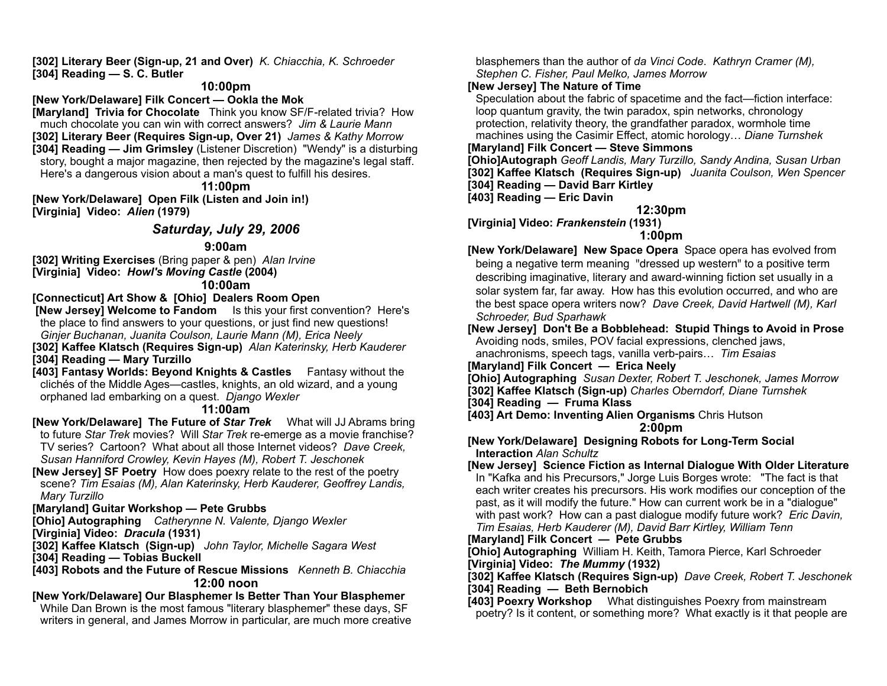**[302] Literary Beer (Sign-up, 21 and Over)** *K. Chiacchia, K. Schroeder* **[304] Reading — S. C. Butler**

## **10:00pm**

**[New York/Delaware] Filk Concert — Ookla the Mok**

**[Maryland] Trivia for Chocolate** Think you know SF/F-related trivia? How much chocolate you can win with correct answers? *Jim & Laurie Mann*  **[302] Literary Beer (Requires Sign-up, Over 21)** *James & Kathy Morrow* **[304] Reading — Jim Grimsley** (Listener Discretion) "Wendy" is a disturbing story, bought a major magazine, then rejected by the magazine's legal staff. Here's a dangerous vision about a man's quest to fulfill his desires.

**11:00pm** 

**[New York/Delaware] Open Filk (Listen and Join in!) [Virginia] Video:** *Alien* **(1979)**

# *Saturday, July 29, 2006*

## **9:00am**

**[302] Writing Exercises** (Bring paper & pen) *Alan Irvine* **[Virginia] Video:** *Howl's Moving Castle* **(2004)**

# **10:00am**

**[Connecticut] Art Show & [Ohio] Dealers Room Open**

 **[New Jersey] Welcome to Fandom** Is this your first convention? Here's the place to find answers to your questions, or just find new questions! *Ginjer Buchanan, Juanita Coulson, Laurie Mann (M), Erica Neely*

**[302] Kaffee Klatsch (Requires Sign-up)** *Alan Katerinsky, Herb Kauderer*  **[304] Reading — Mary Turzillo**

**[403] Fantasy Worlds: Beyond Knights & Castles** Fantasy without the clichés of the Middle Ages—castles, knights, an old wizard, and a young orphaned lad embarking on a quest. *Django Wexler* 

### **11:00am**

**[New York/Delaware] The Future of** *Star Trek* What will JJ Abrams bring to future *Star Trek* movies? Will *Star Trek* re-emerge as a movie franchise? TV series? Cartoon? What about all those Internet videos? *Dave Creek, Susan Hanniford Crowley, Kevin Hayes (M), Robert T. Jeschonek* 

**[New Jersey] SF Poetry** How does poexry relate to the rest of the poetry scene? *Tim Esaias (M), Alan Katerinsky, Herb Kauderer, Geoffrey Landis, Mary Turzillo* 

## **[Maryland] Guitar Workshop — Pete Grubbs**

**[Ohio] Autographing** *Catherynne N. Valente, Django Wexler* **[Virginia] Video:** *Dracula* **(1931)**

**[302] Kaffee Klatsch (Sign-up)** *John Taylor, Michelle Sagara West*  **[304] Reading — Tobias Buckell**

**[403] Robots and the Future of Rescue Missions** *Kenneth B. Chiacchia* **12:00 noon** 

## **[New York/Delaware] Our Blasphemer Is Better Than Your Blasphemer**

While Dan Brown is the most famous "literary blasphemer" these days, SF writers in general, and James Morrow in particular, are much more creative blasphemers than the author of *da Vinci Code*. *Kathryn Cramer (M), Stephen C. Fisher, Paul Melko, James Morrow*

# **[New Jersey] The Nature of Time**

Speculation about the fabric of spacetime and the fact—fiction interface: loop quantum gravity, the twin paradox, spin networks, chronology protection, relativity theory, the grandfather paradox, wormhole time machines using the Casimir Effect, atomic horology… *Diane Turnshek*

## **[Maryland] Filk Concert — Steve Simmons**

**[Ohio]Autograph** *Geoff Landis, Mary Turzillo, Sandy Andina, Susan Urban*

**[302] Kaffee Klatsch (Requires Sign-up)** *Juanita Coulson, Wen Spencer*

**[304] Reading — David Barr Kirtley**

**[403] Reading — Eric Davin**

# **12:30pm**

**[Virginia] Video:** *Frankenstein* **(1931)**

# **1:00pm**

**[New York/Delaware] New Space Opera** Space opera has evolved from being a negative term meaning "dressed up western" to a positive term describing imaginative, literary and award-winning fiction set usually in a solar system far, far away. How has this evolution occurred, and who are the best space opera writers now? *Dave Creek, David Hartwell (M), Karl Schroeder, Bud Sparhawk* 

**[New Jersey] Don't Be a Bobblehead: Stupid Things to Avoid in Prose**  Avoiding nods, smiles, POV facial expressions, clenched jaws, anachronisms, speech tags, vanilla verb-pairs… *Tim Esaias*

**[Maryland] Filk Concert — Erica Neely**

**[Ohio] Autographing** *Susan Dexter, Robert T. Jeschonek, James Morrow*

**[302] Kaffee Klatsch (Sign-up)** *Charles Oberndorf, Diane Turnshek*

**[304] Reading — Fruma Klass**

**[403] Art Demo: Inventing Alien Organisms** Chris Hutson

### **2:00pm**

**[New York/Delaware] Designing Robots for Long-Term Social Interaction** *Alan Schultz*

#### **[New Jersey] Science Fiction as Internal Dialogue With Older Literature** In "Kafka and his Precursors," Jorge Luis Borges wrote: "The fact is that each writer creates his precursors. His work modifies our conception of the past, as it will modify the future." How can current work be in a "dialogue" with past work? How can a past dialogue modify future work? *Eric Davin,*

*Tim Esaias, Herb Kauderer (M), David Barr Kirtley, William Tenn*

## **[Maryland] Filk Concert — Pete Grubbs**

**[Ohio] Autographing** William H. Keith, Tamora Pierce, Karl Schroeder **[Virginia] Video:** *The Mummy* **(1932)**

**[302] Kaffee Klatsch (Requires Sign-up)** *Dave Creek, Robert T. Jeschonek*

**[304] Reading — Beth Bernobich**

**[403] Poexry Workshop** What distinguishes Poexry from mainstream poetry? Is it content, or something more? What exactly is it that people are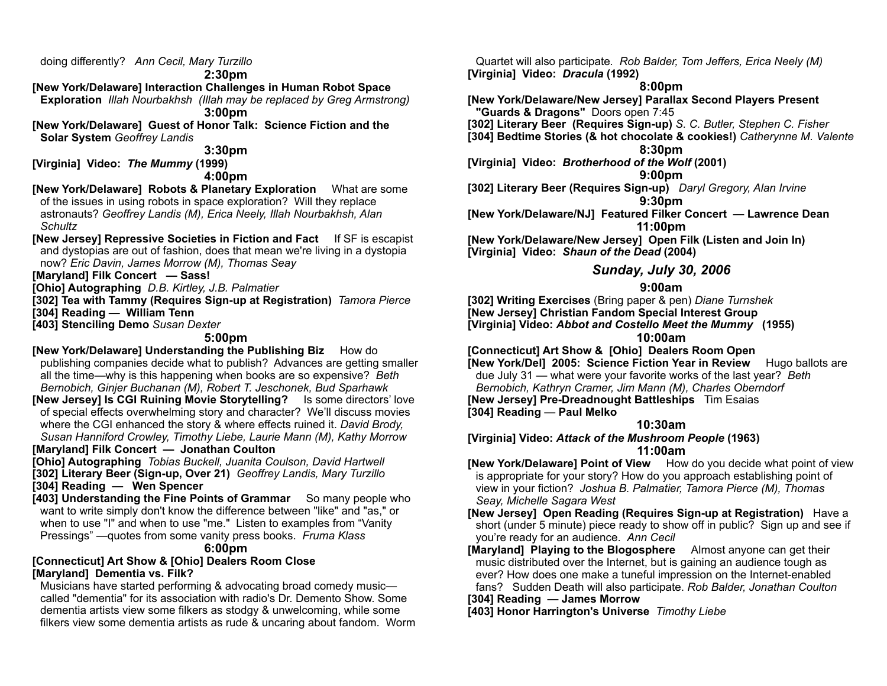doing differently? *Ann Cecil, Mary Turzillo*

#### **2:30pm**

**[New York/Delaware] Interaction Challenges in Human Robot Space** 

**Exploration** *Illah Nourbakhsh (Illah may be replaced by Greg Armstrong)* **3:00pm** 

**[New York/Delaware] Guest of Honor Talk: Science Fiction and the Solar System** *Geoffrey Landis* 

#### **3:30pm**

**[Virginia] Video:** *The Mummy* **(1999)**

#### **4:00pm**

**[New York/Delaware] Robots & Planetary Exploration** What are some of the issues in using robots in space exploration? Will they replace astronauts? *Geoffrey Landis (M), Erica Neely, Illah Nourbakhsh, Alan Schultz*

**[New Jersey] Repressive Societies in Fiction and Fact** If SF is escapist and dystopias are out of fashion, does that mean we're living in a dystopia now? *Eric Davin, James Morrow (M), Thomas Seay*

**[Maryland] Filk Concert — Sass!**

**[Ohio] Autographing** *D.B. Kirtley, J.B. Palmatier*

**[302] Tea with Tammy (Requires Sign-up at Registration)** *Tamora Pierce*

**[304] Reading — William Tenn**

**[403] Stenciling Demo** *Susan Dexter*

## **5:00pm**

**[New York/Delaware] Understanding the Publishing Biz** How do publishing companies decide what to publish? Advances are getting smaller all the time—why is this happening when books are so expensive? *Beth Bernobich, Ginjer Buchanan (M), Robert T. Jeschonek, Bud Sparhawk*

**[New Jersey] Is CGI Ruining Movie Storytelling?** Is some directors' love of special effects overwhelming story and character? We'll discuss movies where the CGI enhanced the story & where effects ruined it. *David Brody, Susan Hanniford Crowley, Timothy Liebe, Laurie Mann (M), Kathy Morrow*

**[Maryland] Filk Concert — Jonathan Coulton**

**[Ohio] Autographing** *Tobias Buckell, Juanita Coulson, David Hartwell* **[302] Literary Beer (Sign-up, Over 21)** *Geoffrey Landis, Mary Turzillo* **[304] Reading — Wen Spencer**

**[403] Understanding the Fine Points of Grammar** So many people who want to write simply don't know the difference between "like" and "as," or when to use "I" and when to use "me." Listen to examples from "Vanity Pressings" —quotes from some vanity press books. *Fruma Klass*

#### **6:00pm**

#### **[Connecticut] Art Show & [Ohio] Dealers Room Close [Maryland] Dementia vs. Filk?**

Musicians have started performing & advocating broad comedy music called "dementia" for its association with radio's Dr. Demento Show. Some dementia artists view some filkers as stodgy & unwelcoming, while some filkers view some dementia artists as rude & uncaring about fandom. Worm

Quartet will also participate*. Rob Balder, Tom Jeffers, Erica Neely (M)* **[Virginia] Video:** *Dracula* **(1992)**

## **8:00pm**

**[New York/Delaware/New Jersey] Parallax Second Players Present "Guards & Dragons"** Doors open 7:45

**[302] Literary Beer (Requires Sign-up)** *S. C. Butler, Stephen C. Fisher*

**[304] Bedtime Stories (& hot chocolate & cookies!)** *Catherynne M. Valente* **8:30pm** 

**[Virginia] Video:** *Brotherhood of the Wolf* **(2001)**

#### **9:00pm**

**[302] Literary Beer (Requires Sign-up)** *Daryl Gregory, Alan Irvine* **9:30pm** 

**[New York/Delaware/NJ] Featured Filker Concert — Lawrence Dean**

**11:00pm** 

**[New York/Delaware/New Jersey] Open Filk (Listen and Join In) [Virginia] Video:** *Shaun of the Dead* **(2004)**

## *Sunday, July 30, 2006*

## **9:00am**

**[302] Writing Exercises** (Bring paper & pen) *Diane Turnshek* **[New Jersey] Christian Fandom Special Interest Group [Virginia] Video:** *Abbot and Costello Meet the Mummy* **(1955)**

#### **10:00am**

**[Connecticut] Art Show & [Ohio] Dealers Room Open**

**[New York/Del] 2005: Science Fiction Year in Review** Hugo ballots are due July 31 — what were your favorite works of the last year? *Beth* 

*Bernobich, Kathryn Cramer, Jim Mann (M), Charles Oberndorf*

**[New Jersey] Pre-Dreadnought Battleships** Tim Esaias **[304] Reading** — **Paul Melko**

# **10:30am**

**[Virginia] Video:** *Attack of the Mushroom People* **(1963)**

## **11:00am**

**[New York/Delaware] Point of View** How do you decide what point of view is appropriate for your story? How do you approach establishing point of view in your fiction? *Joshua B. Palmatier, Tamora Pierce (M), Thomas Seay, Michelle Sagara West*

**[New Jersey] Open Reading (Requires Sign-up at Registration)** Have a short (under 5 minute) piece ready to show off in public? Sign up and see if you're ready for an audience. *Ann Cecil*

- **[Maryland] Playing to the Blogosphere** Almost anyone can get their music distributed over the Internet, but is gaining an audience tough as ever? How does one make a tuneful impression on the Internet-enabled fans? Sudden Death will also participate. *Rob Balder, Jonathan Coulton*
- **[304] Reading James Morrow**

**[403] Honor Harrington's Universe** *Timothy Liebe*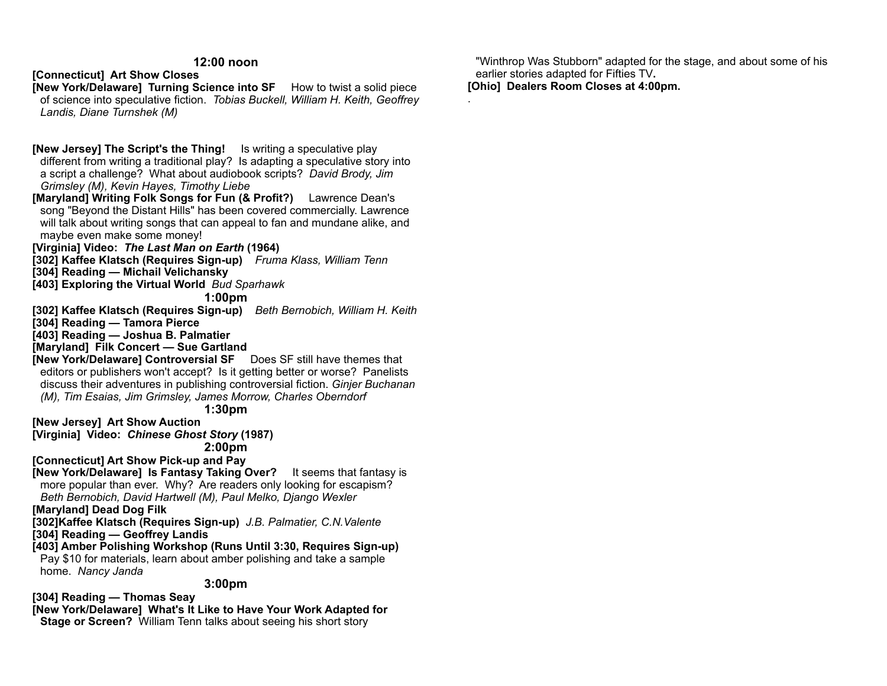#### **12:00 noon**

## **[Connecticut] Art Show Closes**

**[New York/Delaware] Turning Science into SF** How to twist a solid piece of science into speculative fiction. *Tobias Buckell, William H. Keith, Geoffrey Landis, Diane Turnshek (M)*

## **[New Jersey] The Script's the Thing!** Is writing a speculative play

different from writing a traditional play? Is adapting a speculative story into a script a challenge? What about audiobook scripts? *David Brody, Jim Grimsley (M), Kevin Hayes, Timothy Liebe*

**[Maryland] Writing Folk Songs for Fun (& Profit?)** Lawrence Dean's song "Beyond the Distant Hills" has been covered commercially. Lawrence will talk about writing songs that can appeal to fan and mundane alike, and maybe even make some money!

## **[Virginia] Video:** *The Last Man on Earth* **(1964)**

**[302] Kaffee Klatsch (Requires Sign-up)** *Fruma Klass, William Tenn*

**[304] Reading — Michail Velichansky**

**[403] Exploring the Virtual World** *Bud Sparhawk*

#### **1:00pm**

**[302] Kaffee Klatsch (Requires Sign-up)** *Beth Bernobich, William H. Keith* **[304] Reading — Tamora Pierce**

**[403] Reading — Joshua B. Palmatier**

**[Maryland] Filk Concert — Sue Gartland**

**[New York/Delaware] Controversial SF** Does SF still have themes that editors or publishers won't accept? Is it getting better or worse? Panelists discuss their adventures in publishing controversial fiction. *Ginjer Buchanan (M), Tim Esaias, Jim Grimsley, James Morrow, Charles Oberndorf*

**1:30pm** 

**[New Jersey] Art Show Auction**

**[Virginia] Video:** *Chinese Ghost Story* **(1987) 2:00pm** 

**[Connecticut] Art Show Pick-up and Pay**

**[New York/Delaware] Is Fantasy Taking Over?** It seems that fantasy is more popular than ever. Why? Are readers only looking for escapism?

*Beth Bernobich, David Hartwell (M), Paul Melko, Django Wexler* **[Maryland] Dead Dog Filk**

**[302]Kaffee Klatsch (Requires Sign-up)** *J.B. Palmatier, C.N.Valente* **[304] Reading — Geoffrey Landis**

**[403] Amber Polishing Workshop (Runs Until 3:30, Requires Sign-up)**  Pay \$10 for materials, learn about amber polishing and take a sample home. *Nancy Janda*

**3:00pm** 

**[304] Reading — Thomas Seay**

**[New York/Delaware] What's It Like to Have Your Work Adapted for Stage or Screen?** William Tenn talks about seeing his short story

"Winthrop Was Stubborn" adapted for the stage, and about some of his earlier stories adapted for Fifties TV**. [Ohio] Dealers Room Closes at 4:00pm.**

.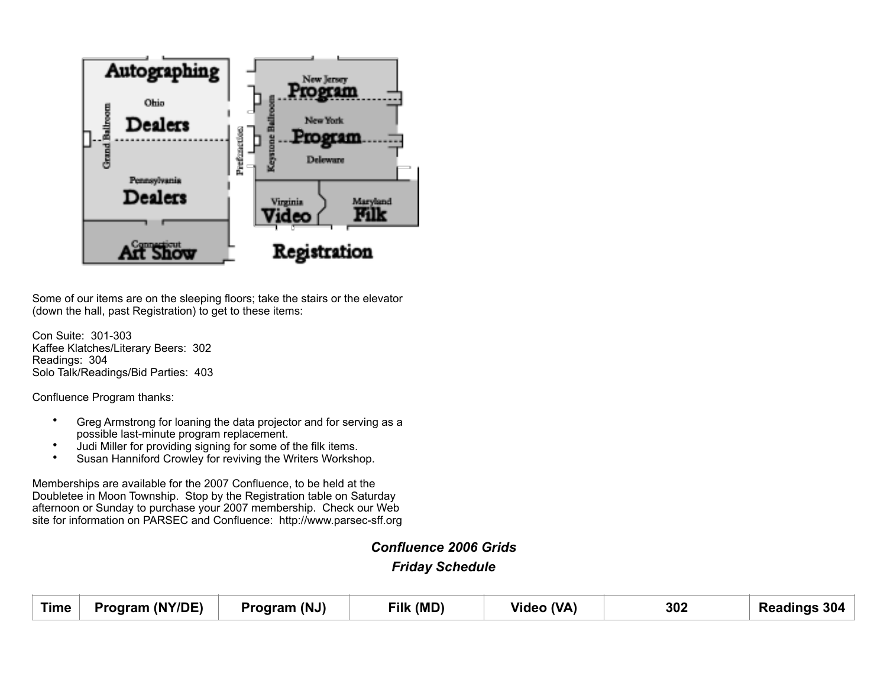

Some of our items are on the sleeping floors; take the stairs or the elevator (down the hall, past Registration) to get to these items:

Con Suite: 301-303 Kaffee Klatches/Literary Beers: 302 Readings: 304 Solo Talk/Readings/Bid Parties: 403

Confluence Program thanks:

- Greg Armstrong for loaning the data projector and for serving as a possible last-minute program replacement.
- Judi Miller for providing signing for some of the filk items.<br>• Susan Hanniford Crowley for reviving the Writers Workshi
- Susan Hanniford Crowley for reviving the Writers Workshop.

Memberships are available for the 2007 Confluence, to be held at the Doubletee in Moon Township. Stop by the Registration table on Saturday afternoon or Sunday to purchase your 2007 membership. Check our Web site for information on PARSEC and Confluence: http://www.parsec-sff.org

*Confluence 2006 Grids* 

*Friday Schedule* 

| <b>Time</b> | Program (NY/DE) | Program (NJ) | Filk (MD) | Video (VA) | 302 | <b>Readings 304</b> |
|-------------|-----------------|--------------|-----------|------------|-----|---------------------|
|             |                 |              |           |            |     |                     |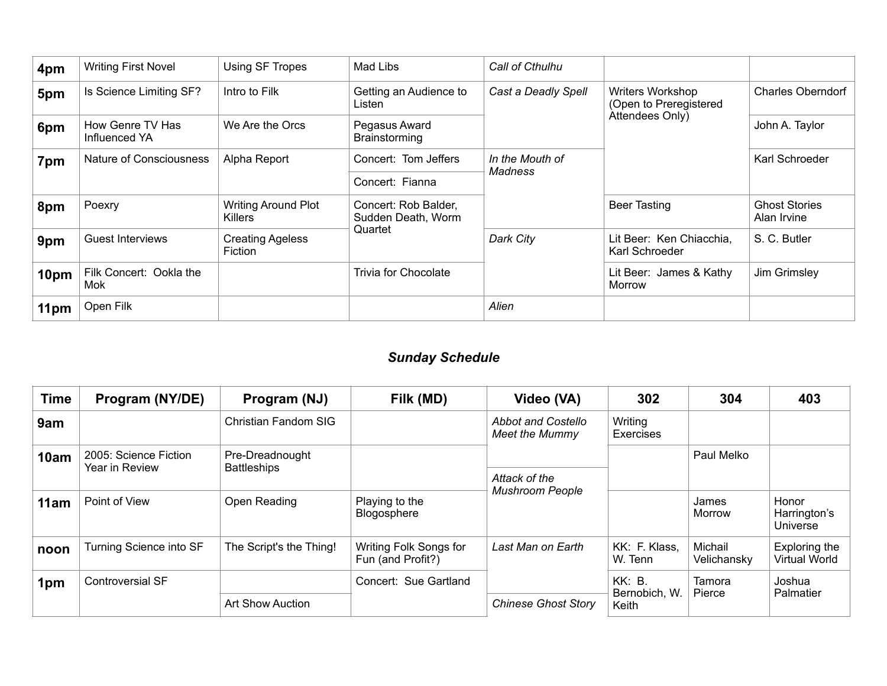| 4pm  | <b>Writing First Novel</b>        | Using SF Tropes                              | Mad Libs                                   | Call of Cthulhu            |                                            |                                     |  |
|------|-----------------------------------|----------------------------------------------|--------------------------------------------|----------------------------|--------------------------------------------|-------------------------------------|--|
| 5pm  | Is Science Limiting SF?           | Intro to Filk                                | Getting an Audience to<br>Listen           | Cast a Deadly Spell        | Writers Workshop<br>(Open to Preregistered | <b>Charles Oberndorf</b>            |  |
| 6pm  | How Genre TV Has<br>Influenced YA | We Are the Orcs                              | Pegasus Award<br>Brainstorming             |                            | Attendees Only)                            | John A. Taylor                      |  |
| 7pm  | Nature of Consciousness           | Alpha Report                                 | Concert: Tom Jeffers                       | In the Mouth of<br>Madness |                                            | Karl Schroeder                      |  |
|      |                                   |                                              | Concert: Fianna                            |                            |                                            |                                     |  |
| 8pm  | Poexry                            | <b>Writing Around Plot</b><br><b>Killers</b> | Concert: Rob Balder,<br>Sudden Death, Worm |                            | <b>Beer Tasting</b>                        | <b>Ghost Stories</b><br>Alan Irvine |  |
| 9pm  | <b>Guest Interviews</b>           | <b>Creating Ageless</b><br>Fiction           | Quartet                                    | Dark City                  | Lit Beer: Ken Chiacchia,<br>Karl Schroeder | S. C. Butler                        |  |
| 10pm | Filk Concert: Ookla the<br>Mok    |                                              | <b>Trivia for Chocolate</b>                |                            | Lit Beer: James & Kathy<br><b>Morrow</b>   | Jim Grimsley                        |  |
| 11pm | Open Filk                         |                                              |                                            | Alien                      |                                            |                                     |  |

# *Sunday Schedule*

| <b>Time</b> | Program (NY/DE)                         | Program (NJ)                          | Filk (MD)                                   | Video (VA)                           | 302                      | 304                    | 403                                      |
|-------------|-----------------------------------------|---------------------------------------|---------------------------------------------|--------------------------------------|--------------------------|------------------------|------------------------------------------|
| 9am         |                                         | Christian Fandom SIG                  |                                             | Abbot and Costello<br>Meet the Mummy | Writing<br>Exercises     |                        |                                          |
| 10am        | 2005: Science Fiction<br>Year in Review | Pre-Dreadnought<br><b>Battleships</b> |                                             |                                      |                          | Paul Melko             |                                          |
|             |                                         |                                       |                                             | Attack of the                        |                          |                        |                                          |
| 11am        | Point of View                           | Open Reading                          | Playing to the<br>Blogosphere               | <b>Mushroom People</b>               |                          | James<br>Morrow        | Honor<br>Harrington's<br><b>Universe</b> |
| noon        | Turning Science into SF                 | The Script's the Thing!               | Writing Folk Songs for<br>Fun (and Profit?) | Last Man on Earth                    | KK: F. Klass.<br>W. Tenn | Michail<br>Velichansky | Exploring the<br>Virtual World           |
| 1pm         | <b>Controversial SF</b>                 |                                       | Concert: Sue Gartland                       |                                      | <b>KK: B.</b>            | Tamora                 | Joshua                                   |
|             | <b>Art Show Auction</b>                 |                                       | <b>Chinese Ghost Story</b>                  | Bernobich, W.<br>Keith               | Pierce                   | Palmatier              |                                          |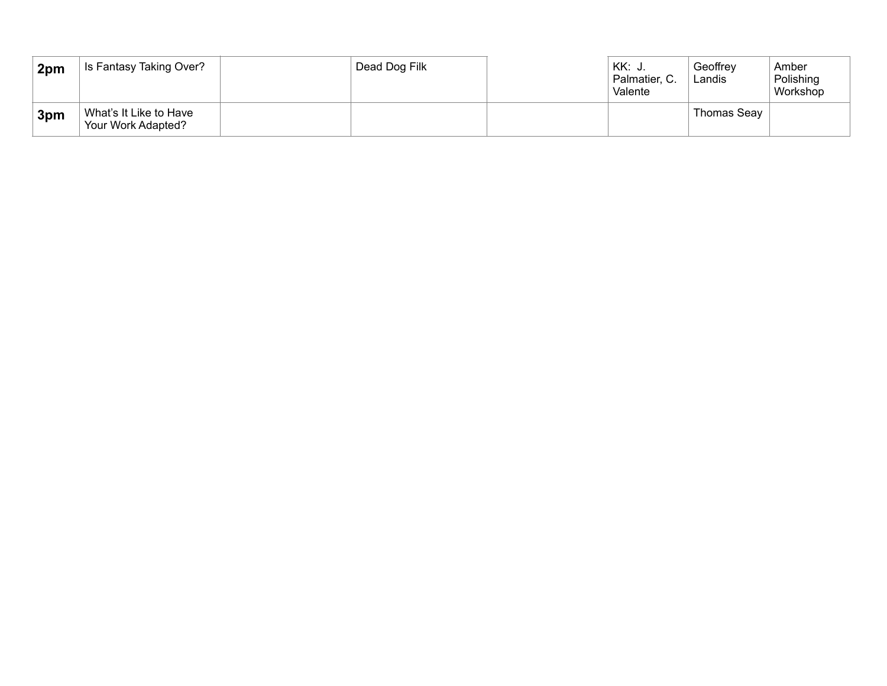| 2pm | Is Fantasy Taking Over?                      | Dead Dog Filk | KK: J.<br>Palmatier, C.<br>Valente | Geoffrey<br>Landis | Amber<br>Polishing<br>Workshop |
|-----|----------------------------------------------|---------------|------------------------------------|--------------------|--------------------------------|
| 3pm | What's It Like to Have<br>Your Work Adapted? |               |                                    | Thomas Seav        |                                |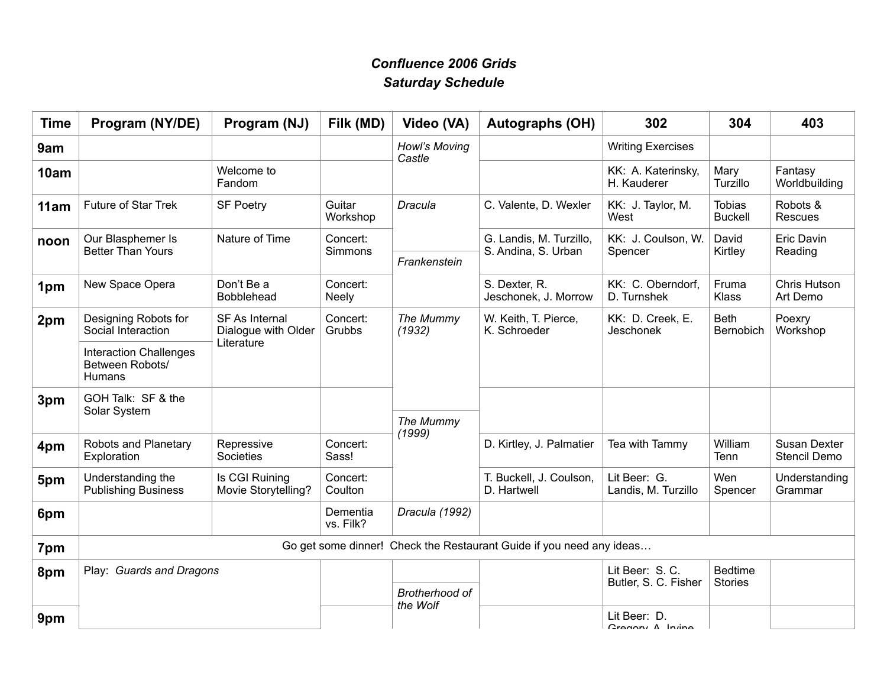# *Confluence 2006 Grids Saturday Schedule*

| <b>Time</b> | Program (NY/DE)                                                      | Program (NJ)                                 | Filk (MD)                | Video (VA)              | <b>Autographs (OH)</b>                         | 302                                  | 304                             | 403                          |  |
|-------------|----------------------------------------------------------------------|----------------------------------------------|--------------------------|-------------------------|------------------------------------------------|--------------------------------------|---------------------------------|------------------------------|--|
| 9am         |                                                                      |                                              |                          | Howl's Moving<br>Castle |                                                | <b>Writing Exercises</b>             |                                 |                              |  |
| 10am        |                                                                      | Welcome to<br>Fandom                         |                          |                         |                                                | KK: A. Katerinsky,<br>H. Kauderer    | Mary<br>Turzillo                | Fantasy<br>Worldbuilding     |  |
| 11am        | <b>Future of Star Trek</b>                                           | <b>SF Poetry</b>                             | Guitar<br>Workshop       | Dracula                 | C. Valente, D. Wexler                          | KK: J. Taylor, M.<br>West            | <b>Tobias</b><br><b>Buckell</b> | Robots &<br>Rescues          |  |
| noon        | Our Blasphemer Is<br><b>Better Than Yours</b>                        | Nature of Time                               | Concert:<br>Simmons      | Frankenstein            | G. Landis, M. Turzillo,<br>S. Andina, S. Urban | KK: J. Coulson, W.<br>Spencer        | David<br>Kirtley                | Eric Davin<br>Reading        |  |
| 1pm         | New Space Opera                                                      | Don't Be a<br><b>Bobblehead</b>              | Concert:<br><b>Neely</b> |                         | S. Dexter, R.<br>Jeschonek, J. Morrow          | KK: C. Oberndorf,<br>D. Turnshek     | Fruma<br>Klass                  | Chris Hutson<br>Art Demo     |  |
| 2pm         | Designing Robots for<br>Social Interaction                           | <b>SF As Internal</b><br>Dialogue with Older | Concert:<br>Grubbs       | The Mummy<br>(1932)     | W. Keith, T. Pierce,<br>K. Schroeder           | KK: D. Creek, E.<br><b>Jeschonek</b> | <b>Beth</b><br>Bernobich        | Poexry<br>Workshop           |  |
|             | <b>Interaction Challenges</b><br>Between Robots/<br>Humans           | Literature                                   |                          |                         |                                                |                                      |                                 |                              |  |
| 3pm         | GOH Talk: SF & the<br>Solar System                                   |                                              |                          |                         |                                                |                                      |                                 |                              |  |
|             |                                                                      |                                              |                          | The Mummy<br>(1999)     |                                                |                                      |                                 |                              |  |
| 4pm         | Robots and Planetary<br>Exploration                                  | Repressive<br>Societies                      | Concert:<br>Sass!        |                         | D. Kirtley, J. Palmatier                       | Tea with Tammy                       | William<br>Tenn                 | Susan Dexter<br>Stencil Demo |  |
| 5pm         | Understanding the<br><b>Publishing Business</b>                      | Is CGI Ruining<br>Movie Storytelling?        | Concert:<br>Coulton      |                         | T. Buckell, J. Coulson,<br>D. Hartwell         | Lit Beer: G.<br>Landis, M. Turzillo  | Wen<br>Spencer                  | Understanding<br>Grammar     |  |
| 6pm         |                                                                      |                                              | Dementia<br>vs. Filk?    | Dracula (1992)          |                                                |                                      |                                 |                              |  |
| 7pm         | Go get some dinner! Check the Restaurant Guide if you need any ideas |                                              |                          |                         |                                                |                                      |                                 |                              |  |
| 8pm         | Play: Guards and Dragons                                             |                                              |                          |                         |                                                | Lit Beer: S.C.                       | <b>Bedtime</b>                  |                              |  |
|             |                                                                      |                                              |                          | Brotherhood of          |                                                | Butler, S. C. Fisher                 | <b>Stories</b>                  |                              |  |
| 9pm         |                                                                      |                                              | the Wolf                 |                         |                                                | Lit Beer: D.<br>Cronomi A Inino      |                                 |                              |  |